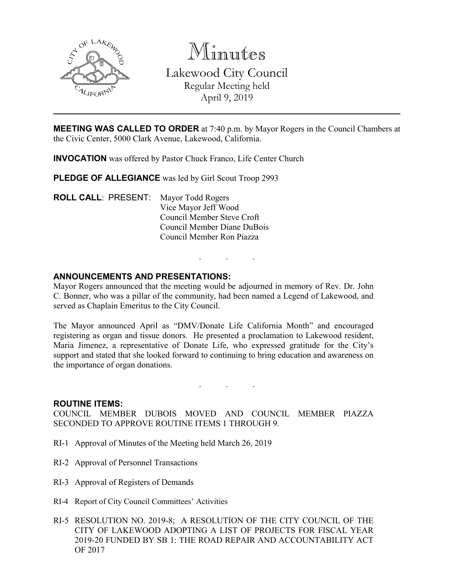

Minutes Lakewood City Council Regular Meeting held April 9, 2019

**MEETING WAS CALLED TO ORDER** at 7:40 p.m. by Mayor Rogers in the Council Chambers at the Civic Center, 5000 Clark Avenue, Lakewood, California.

**INVOCATION** was offered by Pastor Chuck Franco, Life Center Church

PLEDGE OF ALLEGIANCE was led by Girl Scout Troop 2993

**ROLL CALL**: PRESENT: Mayor Todd Rogers Vice Mayor Jeff Wood Council Member Steve Croft Council Member Diane DuBois Council Member Ron Piazza

## **ANNOUNCEMENTS AND PRESENTATIONS:**

Mayor Rogers announced that the meeting would be adjourned in memory of Rev. Dr. John C. Bonner, who was a pillar of the community, had been named a Legend of Lakewood, and served as Chaplain Emeritus to the City Council.

. . .

The Mayor announced April as "DMV/Donate Life California Month" and encouraged registering as organ and tissue donors. He presented a proclamation to Lakewood resident, Maria Jimenez, a representative of Donate Life, who expressed gratitude for the City's support and stated that she looked forward to continuing to bring education and awareness on the importance of organ donations.

#### **ROUTINE ITEMS:**

COUNCIL MEMBER DUBOIS MOVED AND COUNCIL MEMBER PIAZZA SECONDED TO APPROVE ROUTINE ITEMS 1 THROUGH 9.

. . .

- RI-1 Approval of Minutes of the Meeting held March 26, 2019
- RI-2 Approval of Personnel Transactions
- RI-3 Approval of Registers of Demands
- RI-4 Report of City Council Committees' Activities
- RI-5 RESOLUTION NO. 2019-8; A RESOLUTION OF THE CITY COUNCIL OF THE CITY OF LAKEWOOD ADOPTING A LIST OF PROJECTS FOR FISCAL YEAR 2019-20 FUNDED BY SB 1: THE ROAD REPAIR AND ACCOUNTABILITY ACT OF 2017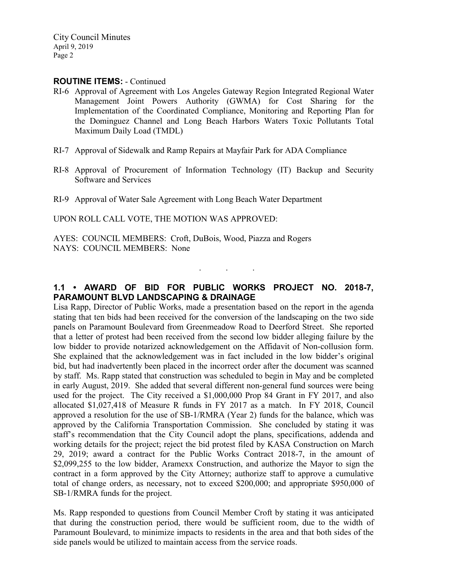## **ROUTINE ITEMS:** - Continued

- RI-6 Approval of Agreement with Los Angeles Gateway Region Integrated Regional Water Management Joint Powers Authority (GWMA) for Cost Sharing for the Implementation of the Coordinated Compliance, Monitoring and Reporting Plan for the Dominguez Channel and Long Beach Harbors Waters Toxic Pollutants Total Maximum Daily Load (TMDL)
- RI-7 Approval of Sidewalk and Ramp Repairs at Mayfair Park for ADA Compliance
- RI-8 Approval of Procurement of Information Technology (IT) Backup and Security Software and Services

RI-9 Approval of Water Sale Agreement with Long Beach Water Department

UPON ROLL CALL VOTE, THE MOTION WAS APPROVED:

AYES: COUNCIL MEMBERS: Croft, DuBois, Wood, Piazza and Rogers NAYS: COUNCIL MEMBERS: None

## **1.1 • AWARD OF BID FOR PUBLIC WORKS PROJECT NO. 2018-7, PARAMOUNT BLVD LANDSCAPING & DRAINAGE**

. . .

Lisa Rapp, Director of Public Works, made a presentation based on the report in the agenda stating that ten bids had been received for the conversion of the landscaping on the two side panels on Paramount Boulevard from Greenmeadow Road to Deerford Street. She reported that a letter of protest had been received from the second low bidder alleging failure by the low bidder to provide notarized acknowledgement on the Affidavit of Non-collusion form. She explained that the acknowledgement was in fact included in the low bidder's original bid, but had inadvertently been placed in the incorrect order after the document was scanned by staff. Ms. Rapp stated that construction was scheduled to begin in May and be completed in early August, 2019. She added that several different non-general fund sources were being used for the project. The City received a \$1,000,000 Prop 84 Grant in FY 2017, and also allocated \$1,027,418 of Measure R funds in FY 2017 as a match. In FY 2018, Council approved a resolution for the use of SB-1/RMRA (Year 2) funds for the balance, which was approved by the California Transportation Commission. She concluded by stating it was staff's recommendation that the City Council adopt the plans, specifications, addenda and working details for the project; reject the bid protest filed by KASA Construction on March 29, 2019; award a contract for the Public Works Contract 2018-7, in the amount of \$2,099,255 to the low bidder, Aramexx Construction, and authorize the Mayor to sign the contract in a form approved by the City Attorney; authorize staff to approve a cumulative total of change orders, as necessary, not to exceed \$200,000; and appropriate \$950,000 of SB-1/RMRA funds for the project.

Ms. Rapp responded to questions from Council Member Croft by stating it was anticipated that during the construction period, there would be sufficient room, due to the width of Paramount Boulevard, to minimize impacts to residents in the area and that both sides of the side panels would be utilized to maintain access from the service roads.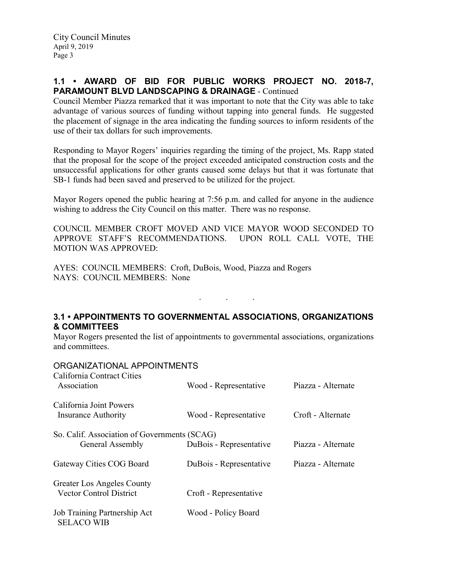## **1.1 • AWARD OF BID FOR PUBLIC WORKS PROJECT NO. 2018-7, PARAMOUNT BLVD LANDSCAPING & DRAINAGE** - Continued

Council Member Piazza remarked that it was important to note that the City was able to take advantage of various sources of funding without tapping into general funds. He suggested the placement of signage in the area indicating the funding sources to inform residents of the use of their tax dollars for such improvements.

Responding to Mayor Rogers' inquiries regarding the timing of the project, Ms. Rapp stated that the proposal for the scope of the project exceeded anticipated construction costs and the unsuccessful applications for other grants caused some delays but that it was fortunate that SB-1 funds had been saved and preserved to be utilized for the project.

Mayor Rogers opened the public hearing at 7:56 p.m. and called for anyone in the audience wishing to address the City Council on this matter. There was no response.

COUNCIL MEMBER CROFT MOVED AND VICE MAYOR WOOD SECONDED TO APPROVE STAFF'S RECOMMENDATIONS. UPON ROLL CALL VOTE, THE MOTION WAS APPROVED:

AYES: COUNCIL MEMBERS: Croft, DuBois, Wood, Piazza and Rogers NAYS: COUNCIL MEMBERS: None

## **3.1 • APPOINTMENTS TO GOVERNMENTAL ASSOCIATIONS, ORGANIZATIONS & COMMITTEES**

. . .

Mayor Rogers presented the list of appointments to governmental associations, organizations and committees.

#### ORGANIZATIONAL APPOINTMENTS

| California Contract Cities<br>Association                           | Wood - Representative   | Piazza - Alternate |  |
|---------------------------------------------------------------------|-------------------------|--------------------|--|
| California Joint Powers<br>Insurance Authority                      | Wood - Representative   | Croft - Alternate  |  |
| So. Calif. Association of Governments (SCAG)                        |                         |                    |  |
| General Assembly                                                    | DuBois - Representative | Piazza - Alternate |  |
| Gateway Cities COG Board                                            | DuBois - Representative | Piazza - Alternate |  |
| <b>Greater Los Angeles County</b><br><b>Vector Control District</b> | Croft - Representative  |                    |  |
| Job Training Partnership Act<br><b>SELACO WIB</b>                   | Wood - Policy Board     |                    |  |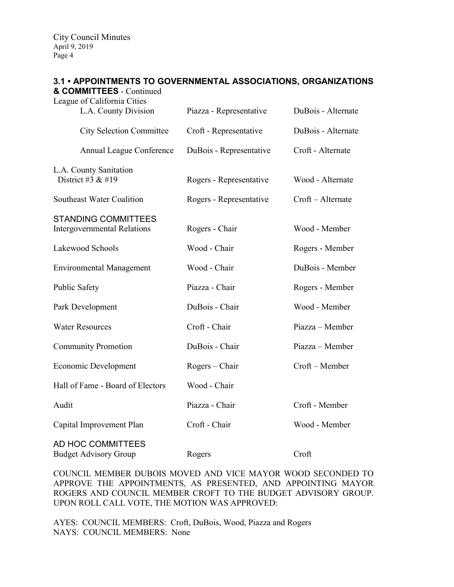City Council Minutes April 9, 2019 Page 4

# **3.1 • APPOINTMENTS TO GOVERNMENTAL ASSOCIATIONS, ORGANIZATIONS**

| & COMMITTEES - Continued<br>League of California Cities          |                         |                    |
|------------------------------------------------------------------|-------------------------|--------------------|
| L.A. County Division                                             | Piazza - Representative | DuBois - Alternate |
| <b>City Selection Committee</b>                                  | Croft - Representative  | DuBois - Alternate |
| Annual League Conference                                         | DuBois - Representative | Croft - Alternate  |
| L.A. County Sanitation<br>District #3 & #19                      | Rogers - Representative | Wood - Alternate   |
| Southeast Water Coalition                                        | Rogers - Representative | Croft - Alternate  |
| <b>STANDING COMMITTEES</b><br><b>Intergovernmental Relations</b> | Rogers - Chair          | Wood - Member      |
| Lakewood Schools                                                 | Wood - Chair            | Rogers - Member    |
| <b>Environmental Management</b>                                  | Wood - Chair            | DuBois - Member    |
| Public Safety                                                    | Piazza - Chair          | Rogers - Member    |
| Park Development                                                 | DuBois - Chair          | Wood - Member      |
| <b>Water Resources</b>                                           | Croft - Chair           | Piazza - Member    |
| <b>Community Promotion</b>                                       | DuBois - Chair          | Piazza – Member    |
| Economic Development                                             | Rogers – Chair          | Croft - Member     |
| Hall of Fame - Board of Electors                                 | Wood - Chair            |                    |
| Audit                                                            | Piazza - Chair          | Croft - Member     |
| Capital Improvement Plan                                         | Croft - Chair           | Wood - Member      |
| AD HOC COMMITTEES<br><b>Budget Advisory Group</b>                | Rogers                  | Croft              |

COUNCIL MEMBER DUBOIS MOVED AND VICE MAYOR WOOD SECONDED TO APPROVE THE APPOINTMENTS, AS PRESENTED, AND APPOINTING MAYOR ROGERS AND COUNCIL MEMBER CROFT TO THE BUDGET ADVISORY GROUP. UPON ROLL CALL VOTE, THE MOTION WAS APPROVED:

AYES: COUNCIL MEMBERS: Croft, DuBois, Wood, Piazza and Rogers NAYS: COUNCIL MEMBERS: None